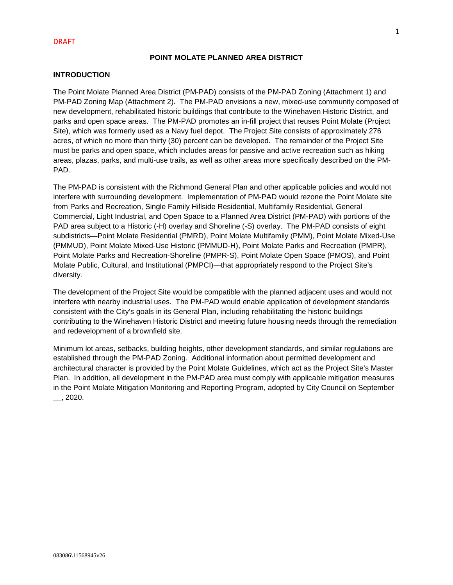# **POINT MOLATE PLANNED AREA DISTRICT**

# **INTRODUCTION**

The Point Molate Planned Area District (PM-PAD) consists of the PM-PAD Zoning (Attachment 1) and PM-PAD Zoning Map (Attachment 2). The PM-PAD envisions a new, mixed-use community composed of new development, rehabilitated historic buildings that contribute to the Winehaven Historic District, and parks and open space areas. The PM-PAD promotes an in-fill project that reuses Point Molate (Project Site), which was formerly used as a Navy fuel depot. The Project Site consists of approximately 276 acres, of which no more than thirty (30) percent can be developed. The remainder of the Project Site must be parks and open space, which includes areas for passive and active recreation such as hiking areas, plazas, parks, and multi-use trails, as well as other areas more specifically described on the PM-PAD.

The PM-PAD is consistent with the Richmond General Plan and other applicable policies and would not interfere with surrounding development. Implementation of PM-PAD would rezone the Point Molate site from Parks and Recreation, Single Family Hillside Residential, Multifamily Residential, General Commercial, Light Industrial, and Open Space to a Planned Area District (PM-PAD) with portions of the PAD area subject to a Historic (-H) overlay and Shoreline (-S) overlay. The PM-PAD consists of eight subdistricts—Point Molate Residential (PMRD), Point Molate Multifamily (PMM), Point Molate Mixed-Use (PMMUD), Point Molate Mixed-Use Historic (PMMUD-H), Point Molate Parks and Recreation (PMPR), Point Molate Parks and Recreation-Shoreline (PMPR-S), Point Molate Open Space (PMOS), and Point Molate Public, Cultural, and Institutional (PMPCI)—that appropriately respond to the Project Site's diversity.

The development of the Project Site would be compatible with the planned adjacent uses and would not interfere with nearby industrial uses. The PM-PAD would enable application of development standards consistent with the City's goals in its General Plan, including rehabilitating the historic buildings contributing to the Winehaven Historic District and meeting future housing needs through the remediation and redevelopment of a brownfield site.

Minimum lot areas, setbacks, building heights, other development standards, and similar regulations are established through the PM-PAD Zoning. Additional information about permitted development and architectural character is provided by the Point Molate Guidelines, which act as the Project Site's Master Plan. In addition, all development in the PM-PAD area must comply with applicable mitigation measures in the Point Molate Mitigation Monitoring and Reporting Program, adopted by City Council on September \_\_, 2020.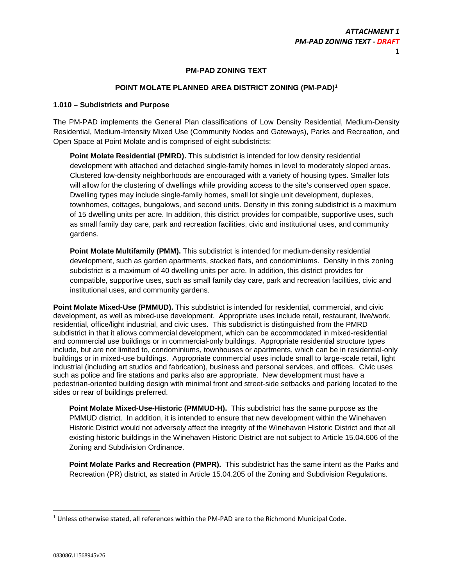# **PM-PAD ZONING TEXT**

# **POINT MOLATE PLANNED AREA DISTRICT ZONING (PM-PAD)<sup>1</sup>**

#### **1.010 – Subdistricts and Purpose**

The PM-PAD implements the General Plan classifications of Low Density Residential, Medium-Density Residential, Medium-Intensity Mixed Use (Community Nodes and Gateways), Parks and Recreation, and Open Space at Point Molate and is comprised of eight subdistricts:

**Point Molate Residential (PMRD).** This subdistrict is intended for low density residential development with attached and detached single-family homes in level to moderately sloped areas. Clustered low-density neighborhoods are encouraged with a variety of housing types. Smaller lots will allow for the clustering of dwellings while providing access to the site's conserved open space. Dwelling types may include single-family homes, small lot single unit development, duplexes, townhomes, cottages, bungalows, and second units. Density in this zoning subdistrict is a maximum of 15 dwelling units per acre. In addition, this district provides for compatible, supportive uses, such as small family day care, park and recreation facilities, civic and institutional uses, and community gardens.

**Point Molate Multifamily (PMM).** This subdistrict is intended for medium-density residential development, such as garden apartments, stacked flats, and condominiums. Density in this zoning subdistrict is a maximum of 40 dwelling units per acre. In addition, this district provides for compatible, supportive uses, such as small family day care, park and recreation facilities, civic and institutional uses, and community gardens.

**Point Molate Mixed-Use (PMMUD).** This subdistrict is intended for residential, commercial, and civic development, as well as mixed-use development. Appropriate uses include retail, restaurant, live/work, residential, office/light industrial, and civic uses. This subdistrict is distinguished from the PMRD subdistrict in that it allows commercial development, which can be accommodated in mixed-residential and commercial use buildings or in commercial-only buildings. Appropriate residential structure types include, but are not limited to, condominiums, townhouses or apartments, which can be in residential-only buildings or in mixed-use buildings. Appropriate commercial uses include small to large-scale retail, light industrial (including art studios and fabrication), business and personal services, and offices. Civic uses such as police and fire stations and parks also are appropriate. New development must have a pedestrian-oriented building design with minimal front and street-side setbacks and parking located to the sides or rear of buildings preferred.

**Point Molate Mixed-Use-Historic (PMMUD-H).** This subdistrict has the same purpose as the PMMUD district. In addition, it is intended to ensure that new development within the Winehaven Historic District would not adversely affect the integrity of the Winehaven Historic District and that all existing historic buildings in the Winehaven Historic District are not subject to Article 15.04.606 of the Zoning and Subdivision Ordinance.

**Point Molate Parks and Recreation (PMPR).** This subdistrict has the same intent as the Parks and Recreation (PR) district, as stated in Article 15.04.205 of the Zoning and Subdivision Regulations.

 $\overline{a}$ 

 $<sup>1</sup>$  Unless otherwise stated, all references within the PM-PAD are to the Richmond Municipal Code.</sup>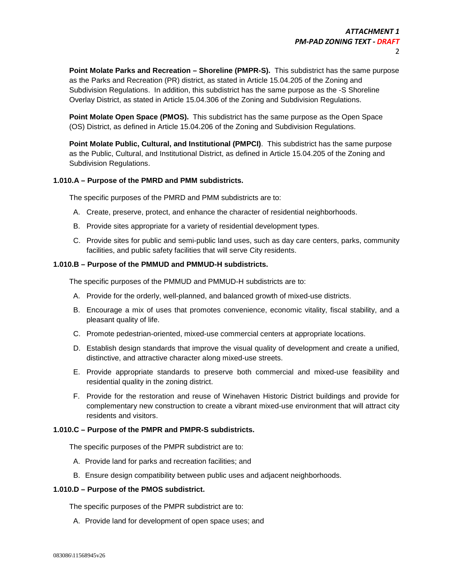**Point Molate Parks and Recreation – Shoreline (PMPR-S).** This subdistrict has the same purpose as the Parks and Recreation (PR) district, as stated in Article 15.04.205 of the Zoning and Subdivision Regulations. In addition, this subdistrict has the same purpose as the -S Shoreline Overlay District, as stated in Article 15.04.306 of the Zoning and Subdivision Regulations.

**Point Molate Open Space (PMOS).** This subdistrict has the same purpose as the Open Space (OS) District, as defined in Article 15.04.206 of the Zoning and Subdivision Regulations.

**Point Molate Public, Cultural, and Institutional (PMPCI)**. This subdistrict has the same purpose as the Public, Cultural, and Institutional District, as defined in Article 15.04.205 of the Zoning and Subdivision Regulations.

# **1.010.A – Purpose of the PMRD and PMM subdistricts.**

The specific purposes of the PMRD and PMM subdistricts are to:

- A. Create, preserve, protect, and enhance the character of residential neighborhoods.
- B. Provide sites appropriate for a variety of residential development types.
- C. Provide sites for public and semi-public land uses, such as day care centers, parks, community facilities, and public safety facilities that will serve City residents.

# **1.010.B – Purpose of the PMMUD and PMMUD-H subdistricts.**

The specific purposes of the PMMUD and PMMUD-H subdistricts are to:

- A. Provide for the orderly, well-planned, and balanced growth of mixed-use districts.
- B. Encourage a mix of uses that promotes convenience, economic vitality, fiscal stability, and a pleasant quality of life.
- C. Promote pedestrian-oriented, mixed-use commercial centers at appropriate locations.
- D. Establish design standards that improve the visual quality of development and create a unified, distinctive, and attractive character along mixed-use streets.
- E. Provide appropriate standards to preserve both commercial and mixed-use feasibility and residential quality in the zoning district.
- F. Provide for the restoration and reuse of Winehaven Historic District buildings and provide for complementary new construction to create a vibrant mixed-use environment that will attract city residents and visitors.

# **1.010.C – Purpose of the PMPR and PMPR-S subdistricts.**

The specific purposes of the PMPR subdistrict are to:

- A. Provide land for parks and recreation facilities; and
- B. Ensure design compatibility between public uses and adjacent neighborhoods.

# **1.010.D – Purpose of the PMOS subdistrict.**

The specific purposes of the PMPR subdistrict are to:

A. Provide land for development of open space uses; and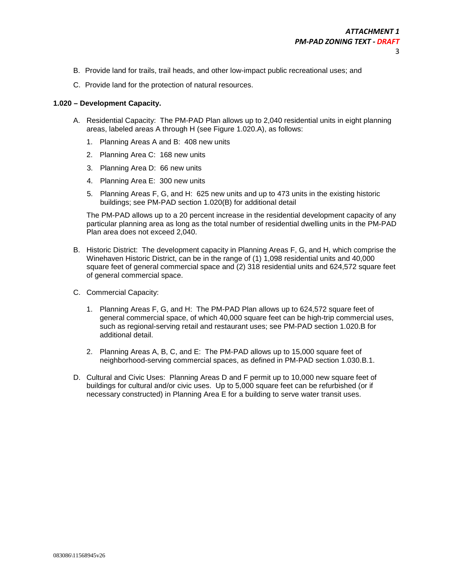- B. Provide land for trails, trail heads, and other low-impact public recreational uses; and
- C. Provide land for the protection of natural resources.

#### **1.020 – Development Capacity.**

- A. Residential Capacity: The PM-PAD Plan allows up to 2,040 residential units in eight planning areas, labeled areas A through H (see Figure 1.020.A), as follows:
	- 1. Planning Areas A and B: 408 new units
	- 2. Planning Area C: 168 new units
	- 3. Planning Area D: 66 new units
	- 4. Planning Area E: 300 new units
	- 5. Planning Areas F, G, and H: 625 new units and up to 473 units in the existing historic buildings; see PM-PAD section 1.020(B) for additional detail

The PM-PAD allows up to a 20 percent increase in the residential development capacity of any particular planning area as long as the total number of residential dwelling units in the PM-PAD Plan area does not exceed 2,040.

- B. Historic District: The development capacity in Planning Areas F, G, and H, which comprise the Winehaven Historic District, can be in the range of (1) 1,098 residential units and 40,000 square feet of general commercial space and (2) 318 residential units and 624,572 square feet of general commercial space.
- C. Commercial Capacity:
	- 1. Planning Areas F, G, and H: The PM-PAD Plan allows up to 624,572 square feet of general commercial space, of which 40,000 square feet can be high-trip commercial uses, such as regional-serving retail and restaurant uses; see PM-PAD section 1.020.B for additional detail.
	- 2. Planning Areas A, B, C, and E: The PM-PAD allows up to 15,000 square feet of neighborhood-serving commercial spaces, as defined in PM-PAD section 1.030.B.1.
- D. Cultural and Civic Uses: Planning Areas D and F permit up to 10,000 new square feet of buildings for cultural and/or civic uses. Up to 5,000 square feet can be refurbished (or if necessary constructed) in Planning Area E for a building to serve water transit uses.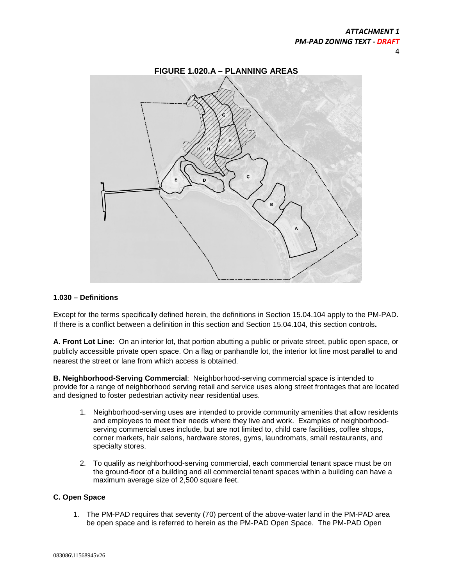

#### **1.030 – Definitions**

Except for the terms specifically defined herein, the definitions in Section 15.04.104 apply to the PM-PAD. If there is a conflict between a definition in this section and Section 15.04.104, this section controls**.** 

**A. Front Lot Line:** On an interior lot, that portion abutting a public or private street, public open space, or publicly accessible private open space. On a flag or panhandle lot, the interior lot line most parallel to and nearest the street or lane from which access is obtained.

**B. Neighborhood-Serving Commercial**: Neighborhood-serving commercial space is intended to provide for a range of neighborhood serving retail and service uses along street frontages that are located and designed to foster pedestrian activity near residential uses.

- 1. Neighborhood-serving uses are intended to provide community amenities that allow residents and employees to meet their needs where they live and work. Examples of neighborhoodserving commercial uses include, but are not limited to, child care facilities, coffee shops, corner markets, hair salons, hardware stores, gyms, laundromats, small restaurants, and specialty stores.
- 2. To qualify as neighborhood-serving commercial, each commercial tenant space must be on the ground-floor of a building and all commercial tenant spaces within a building can have a maximum average size of 2,500 square feet.

#### **C. Open Space**

1. The PM-PAD requires that seventy (70) percent of the above-water land in the PM-PAD area be open space and is referred to herein as the PM-PAD Open Space. The PM-PAD Open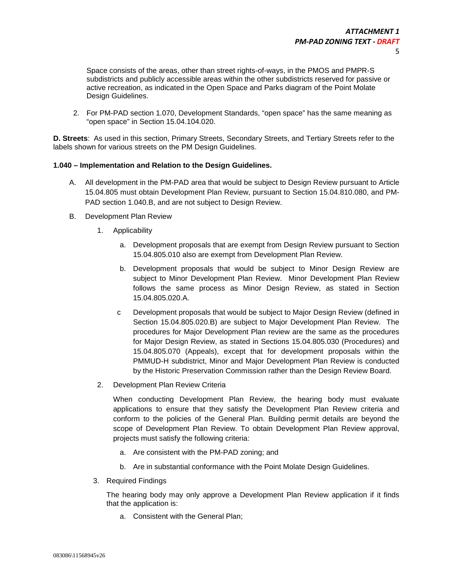Space consists of the areas, other than street rights-of-ways, in the PMOS and PMPR-S subdistricts and publicly accessible areas within the other subdistricts reserved for passive or active recreation, as indicated in the Open Space and Parks diagram of the Point Molate Design Guidelines.

2. For PM-PAD section 1.070, Development Standards, "open space" has the same meaning as "open space" in Section 15.04.104.020.

**D. Streets**: As used in this section, Primary Streets, Secondary Streets, and Tertiary Streets refer to the labels shown for various streets on the PM Design Guidelines.

#### **1.040 – Implementation and Relation to the Design Guidelines.**

- A. All development in the PM-PAD area that would be subject to Design Review pursuant to Article 15.04.805 must obtain Development Plan Review, pursuant to Section 15.04.810.080, and PM-PAD section 1.040.B, and are not subject to Design Review.
- B. Development Plan Review
	- 1. Applicability
		- a. Development proposals that are exempt from Design Review pursuant to Section 15.04.805.010 also are exempt from Development Plan Review.
		- b. Development proposals that would be subject to Minor Design Review are subject to Minor Development Plan Review. Minor Development Plan Review follows the same process as Minor Design Review, as stated in Section 15.04.805.020.A.
		- c Development proposals that would be subject to Major Design Review (defined in Section 15.04.805.020.B) are subject to Major Development Plan Review. The procedures for Major Development Plan review are the same as the procedures for Major Design Review, as stated in Sections 15.04.805.030 (Procedures) and 15.04.805.070 (Appeals), except that for development proposals within the PMMUD-H subdistrict, Minor and Major Development Plan Review is conducted by the Historic Preservation Commission rather than the Design Review Board.
	- 2. Development Plan Review Criteria

When conducting Development Plan Review, the hearing body must evaluate applications to ensure that they satisfy the Development Plan Review criteria and conform to the policies of the General Plan. Building permit details are beyond the scope of Development Plan Review. To obtain Development Plan Review approval, projects must satisfy the following criteria:

- a. Are consistent with the PM-PAD zoning; and
- b. Are in substantial conformance with the Point Molate Design Guidelines.
- 3. Required Findings

The hearing body may only approve a Development Plan Review application if it finds that the application is:

a. Consistent with the General Plan;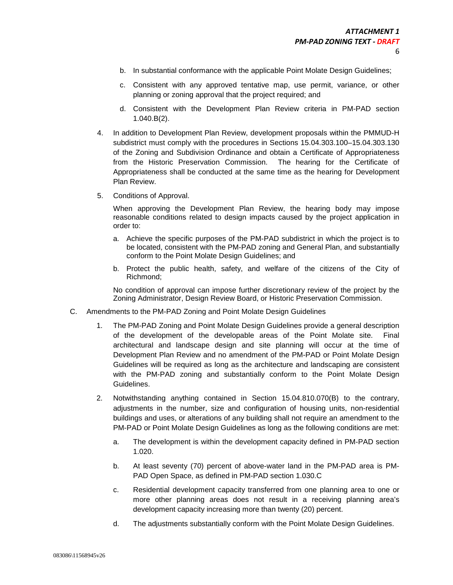- b. In substantial conformance with the applicable Point Molate Design Guidelines;
- c. Consistent with any approved tentative map, use permit, variance, or other planning or zoning approval that the project required; and
- d. Consistent with the Development Plan Review criteria in PM-PAD section 1.040.B(2).
- 4. In addition to Development Plan Review, development proposals within the PMMUD-H subdistrict must comply with the procedures in Sections 15.04.303.100–15.04.303.130 of the Zoning and Subdivision Ordinance and obtain a Certificate of Appropriateness from the Historic Preservation Commission. The hearing for the Certificate of Appropriateness shall be conducted at the same time as the hearing for Development Plan Review.
- 5. Conditions of Approval.

When approving the Development Plan Review, the hearing body may impose reasonable conditions related to design impacts caused by the project application in order to:

- a. Achieve the specific purposes of the PM-PAD subdistrict in which the project is to be located, consistent with the PM-PAD zoning and General Plan, and substantially conform to the Point Molate Design Guidelines; and
- b. Protect the public health, safety, and welfare of the citizens of the City of Richmond;

No condition of approval can impose further discretionary review of the project by the Zoning Administrator, Design Review Board, or Historic Preservation Commission.

- C. Amendments to the PM-PAD Zoning and Point Molate Design Guidelines
	- 1. The PM-PAD Zoning and Point Molate Design Guidelines provide a general description of the development of the developable areas of the Point Molate site. Final architectural and landscape design and site planning will occur at the time of Development Plan Review and no amendment of the PM-PAD or Point Molate Design Guidelines will be required as long as the architecture and landscaping are consistent with the PM-PAD zoning and substantially conform to the Point Molate Design Guidelines.
	- 2. Notwithstanding anything contained in Section 15.04.810.070(B) to the contrary, adjustments in the number, size and configuration of housing units, non-residential buildings and uses, or alterations of any building shall not require an amendment to the PM-PAD or Point Molate Design Guidelines as long as the following conditions are met:
		- a. The development is within the development capacity defined in PM-PAD section 1.020.
		- b. At least seventy (70) percent of above-water land in the PM-PAD area is PM-PAD Open Space, as defined in PM-PAD section 1.030.C
		- c. Residential development capacity transferred from one planning area to one or more other planning areas does not result in a receiving planning area's development capacity increasing more than twenty (20) percent.
		- d. The adjustments substantially conform with the Point Molate Design Guidelines.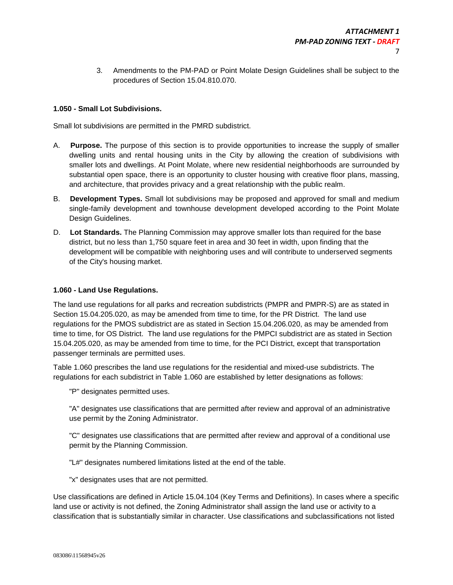3. Amendments to the PM-PAD or Point Molate Design Guidelines shall be subject to the procedures of Section 15.04.810.070.

# **1.050 - Small Lot Subdivisions.**

Small lot subdivisions are permitted in the PMRD subdistrict.

- A. **Purpose.** The purpose of this section is to provide opportunities to increase the supply of smaller dwelling units and rental housing units in the City by allowing the creation of subdivisions with smaller lots and dwellings. At Point Molate, where new residential neighborhoods are surrounded by substantial open space, there is an opportunity to cluster housing with creative floor plans, massing, and architecture, that provides privacy and a great relationship with the public realm.
- B. **Development Types.** Small lot subdivisions may be proposed and approved for small and medium single-family development and townhouse development developed according to the Point Molate Design Guidelines.
- D. **Lot Standards.** The Planning Commission may approve smaller lots than required for the base district, but no less than 1,750 square feet in area and 30 feet in width, upon finding that the development will be compatible with neighboring uses and will contribute to underserved segments of the City's housing market.

# **1.060 - Land Use Regulations.**

The land use regulations for all parks and recreation subdistricts (PMPR and PMPR-S) are as stated in Section 15.04.205.020, as may be amended from time to time, for the PR District. The land use regulations for the PMOS subdistrict are as stated in Section 15.04.206.020, as may be amended from time to time, for OS District. The land use regulations for the PMPCI subdistrict are as stated in Section 15.04.205.020, as may be amended from time to time, for the PCI District, except that transportation passenger terminals are permitted uses.

Table 1.060 prescribes the land use regulations for the residential and mixed-use subdistricts. The regulations for each subdistrict in Table 1.060 are established by letter designations as follows:

"P" designates permitted uses.

"A" designates use classifications that are permitted after review and approval of an administrative use permit by the Zoning Administrator.

"C" designates use classifications that are permitted after review and approval of a conditional use permit by the Planning Commission.

"L#" designates numbered limitations listed at the end of the table.

"x" designates uses that are not permitted.

Use classifications are defined in Article 15.04.104 (Key Terms and Definitions). In cases where a specific land use or activity is not defined, the Zoning Administrator shall assign the land use or activity to a classification that is substantially similar in character. Use classifications and subclassifications not listed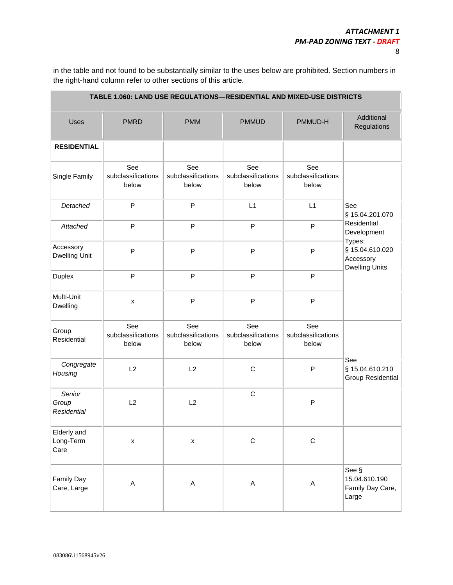8

in the table and not found to be substantially similar to the uses below are prohibited. Section numbers in the right-hand column refer to other sections of this article.

| TABLE 1.060: LAND USE REGULATIONS-RESIDENTIAL AND MIXED-USE DISTRICTS |                                    |                                    |                                    |                                    |                                                                 |  |
|-----------------------------------------------------------------------|------------------------------------|------------------------------------|------------------------------------|------------------------------------|-----------------------------------------------------------------|--|
| Uses                                                                  | <b>PMRD</b>                        | <b>PMM</b>                         | <b>PMMUD</b>                       | PMMUD-H                            | Additional<br>Regulations                                       |  |
| <b>RESIDENTIAL</b>                                                    |                                    |                                    |                                    |                                    |                                                                 |  |
| Single Family                                                         | See<br>subclassifications<br>below | See<br>subclassifications<br>below | See<br>subclassifications<br>below | See<br>subclassifications<br>below |                                                                 |  |
| Detached                                                              | $\mathsf{P}$                       | ${\sf P}$                          | L1                                 | L1                                 | See<br>§ 15.04.201.070                                          |  |
| Attached                                                              | P                                  | ${\sf P}$                          | P                                  | P                                  | Residential<br>Development                                      |  |
| Accessory<br><b>Dwelling Unit</b>                                     | P                                  | ${\sf P}$                          | P                                  | P                                  | Types;<br>§ 15.04.610.020<br>Accessory<br><b>Dwelling Units</b> |  |
| Duplex                                                                | $\mathsf{P}$                       | $\sf P$                            | P                                  | P                                  |                                                                 |  |
| Multi-Unit<br>Dwelling                                                | x                                  | $\mathsf{P}$                       | P                                  | P                                  |                                                                 |  |
| Group<br>Residential                                                  | See<br>subclassifications<br>below | See<br>subclassifications<br>below | See<br>subclassifications<br>below | See<br>subclassifications<br>below |                                                                 |  |
| Congregate<br>Housing                                                 | L2                                 | L2                                 | $\mathsf C$                        | P                                  | See<br>§ 15.04.610.210<br><b>Group Residential</b>              |  |
| Senior<br>Group<br><b>Residential</b>                                 | L2                                 | L2                                 | $\mathsf C$                        | P                                  |                                                                 |  |
| Elderly and<br>Long-Term<br>Care                                      | $\pmb{\mathsf{x}}$                 | $\pmb{\mathsf{X}}$                 | C                                  | $\mathbf C$                        |                                                                 |  |
| Family Day<br>Care, Large                                             | A                                  | $\mathsf A$                        | A                                  | A                                  | See §<br>15.04.610.190<br>Family Day Care,<br>Large             |  |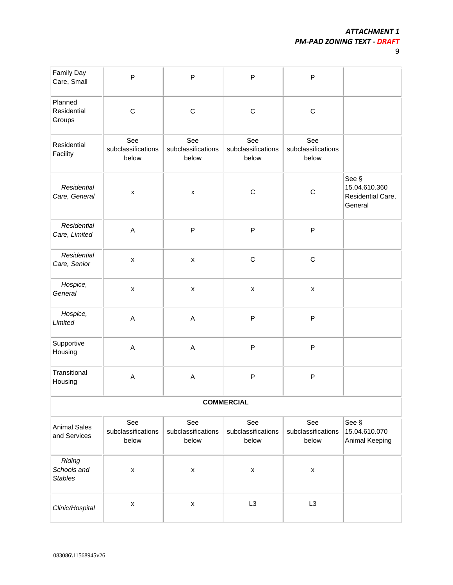| I                      |
|------------------------|
| i                      |
| ı<br>I<br>I<br>×<br>۰. |

| Family Day<br>Care, Small               | $\mathsf{P}$                       | $\mathsf{P}$                       | P                                  | P                                  |                                                        |  |
|-----------------------------------------|------------------------------------|------------------------------------|------------------------------------|------------------------------------|--------------------------------------------------------|--|
| Planned<br>Residential<br>Groups        | $\mathsf C$                        | $\mathsf C$                        | $\mathsf C$                        | $\mathsf C$                        |                                                        |  |
| Residential<br>Facility                 | See<br>subclassifications<br>below | See<br>subclassifications<br>below | See<br>subclassifications<br>below | See<br>subclassifications<br>below |                                                        |  |
| Residential<br>Care, General            | X                                  | $\pmb{\times}$                     | $\mathsf C$                        | $\mathsf C$                        | See §<br>15.04.610.360<br>Residential Care,<br>General |  |
| Residential<br>Care, Limited            | A                                  | $\mathsf{P}$                       | P                                  | P                                  |                                                        |  |
| Residential<br>Care, Senior             | $\pmb{\mathsf{x}}$                 | $\pmb{\mathsf{x}}$                 | $\mathsf C$                        | $\mathsf C$                        |                                                        |  |
| Hospice,<br>General                     | $\pmb{\mathsf{X}}$                 | $\pmb{\times}$                     | $\pmb{\mathsf{x}}$                 | $\pmb{\times}$                     |                                                        |  |
| Hospice,<br>Limited                     | $\boldsymbol{\mathsf{A}}$          | $\mathsf A$                        | P                                  | P                                  |                                                        |  |
| Supportive<br>Housing                   | $\mathsf A$                        | $\mathsf A$                        | P                                  | $\mathsf{P}$                       |                                                        |  |
| Transitional<br>Housing                 | $\boldsymbol{\mathsf{A}}$          | $\mathsf A$                        | P                                  | P                                  |                                                        |  |
| <b>COMMERCIAL</b>                       |                                    |                                    |                                    |                                    |                                                        |  |
| <b>Animal Sales</b><br>and Services     | See<br>subclassifications<br>below | See<br>subclassifications<br>below | See<br>subclassifications<br>below | See<br>subclassifications<br>below | See §<br>15.04.610.070<br>Animal Keeping               |  |
| Riding<br>Schools and<br><b>Stables</b> | $\pmb{\mathsf{x}}$                 | $\pmb{\mathsf{X}}$                 | $\pmb{\mathsf{X}}$                 | $\pmb{\mathsf{x}}$                 |                                                        |  |
| Clinic/Hospital                         | $\pmb{\mathsf{X}}$                 | $\pmb{\mathsf{X}}$                 | L <sub>3</sub>                     | L <sub>3</sub>                     |                                                        |  |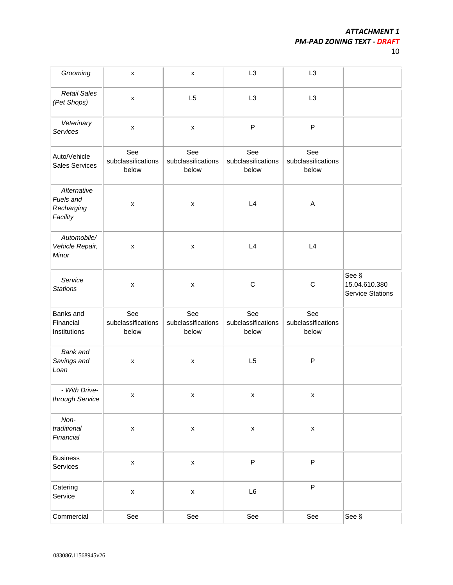10

| Grooming                                           | $\pmb{\mathsf{x}}$                 | $\pmb{\mathsf{x}}$                 | L <sub>3</sub>                     | L <sub>3</sub>                     |                                                   |
|----------------------------------------------------|------------------------------------|------------------------------------|------------------------------------|------------------------------------|---------------------------------------------------|
| <b>Retail Sales</b><br>(Pet Shops)                 | $\pmb{\mathsf{X}}$                 | L <sub>5</sub>                     | L <sub>3</sub>                     | L <sub>3</sub>                     |                                                   |
| Veterinary<br>Services                             | $\pmb{\times}$                     | $\pmb{\times}$                     | ${\sf P}$                          | P                                  |                                                   |
| Auto/Vehicle<br><b>Sales Services</b>              | See<br>subclassifications<br>below | See<br>subclassifications<br>below | See<br>subclassifications<br>below | See<br>subclassifications<br>below |                                                   |
| Alternative<br>Fuels and<br>Recharging<br>Facility | $\pmb{\mathsf{x}}$                 | $\pmb{\mathsf{x}}$                 | L4                                 | A                                  |                                                   |
| Automobile/<br>Vehicle Repair,<br>Minor            | $\pmb{\times}$                     | $\pmb{\times}$                     | L4                                 | L4                                 |                                                   |
| Service<br><b>Stations</b>                         | $\pmb{\times}$                     | $\pmb{\mathsf{X}}$                 | $\mathsf C$                        | $\mathsf C$                        | See §<br>15.04.610.380<br><b>Service Stations</b> |
| Banks and<br>Financial<br>Institutions             | See<br>subclassifications<br>below | See<br>subclassifications<br>below | See<br>subclassifications<br>below | See<br>subclassifications<br>below |                                                   |
| Bank and<br>Savings and<br>Loan                    | $\pmb{\times}$                     | $\pmb{\mathsf{X}}$                 | L5                                 | P                                  |                                                   |
| - With Drive-<br>through Service                   | x                                  | x                                  | X                                  | X                                  |                                                   |
| Non-<br>traditional<br>Financial                   | $\pmb{\mathsf{x}}$                 | $\pmb{\mathsf{x}}$                 | $\pmb{\mathsf{X}}$                 | $\pmb{\mathsf{X}}$                 |                                                   |
| <b>Business</b><br>Services                        | $\pmb{\mathsf{x}}$                 | $\pmb{\mathsf{x}}$                 | $\mathsf P$                        | P                                  |                                                   |
| Catering<br>Service                                | $\pmb{\mathsf{x}}$                 | $\pmb{\mathsf{x}}$                 | L6                                 | P                                  |                                                   |
| Commercial                                         | See                                | See                                | See                                | See                                | See §                                             |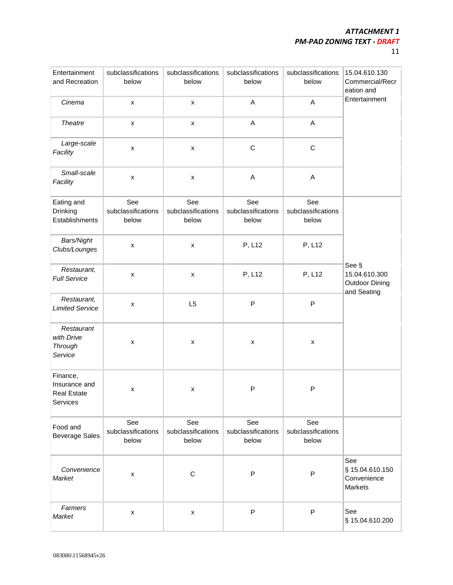| I | I |
|---|---|
|   |   |
| c |   |

| Entertainment<br>and Recreation                             | subclassifications<br>below        | subclassifications<br>below        | subclassifications<br>below        | subclassifications<br>below        | 15.04.610.130<br>Commercial/Recr<br>eation and                 |
|-------------------------------------------------------------|------------------------------------|------------------------------------|------------------------------------|------------------------------------|----------------------------------------------------------------|
| Cinema                                                      | $\pmb{\mathsf{x}}$                 | $\pmb{\mathsf{x}}$                 | A                                  | A                                  | Entertainment                                                  |
| <b>Theatre</b>                                              | X                                  | X                                  | A                                  | A                                  |                                                                |
| Large-scale<br>Facility                                     | X                                  | $\pmb{\times}$                     | $\mathsf C$                        | $\mathsf C$                        |                                                                |
| Small-scale<br>Facility                                     | $\pmb{\mathsf{x}}$                 | $\pmb{\mathsf{x}}$                 | A                                  | A                                  |                                                                |
| Eating and<br>Drinking<br>Establishments                    | See<br>subclassifications<br>below | See<br>subclassifications<br>below | See<br>subclassifications<br>below | See<br>subclassifications<br>below |                                                                |
| Bars/Night<br>Clubs/Lounges                                 | $\pmb{\times}$                     | $\pmb{\mathsf{x}}$                 | P, L12                             | P, L12                             |                                                                |
| Restaurant,<br><b>Full Service</b>                          | $\pmb{\times}$                     | $\pmb{\times}$                     | P, L12                             | P, L12                             | See §<br>15.04.610.300<br><b>Outdoor Dining</b><br>and Seating |
| Restaurant,<br><b>Limited Service</b>                       | $\pmb{\times}$                     | L <sub>5</sub>                     | P                                  | P                                  |                                                                |
| Restaurant<br>with Drive<br>Through<br>Service              | X                                  | X                                  | X                                  | x                                  |                                                                |
| Finance,<br>Insurance and<br><b>Real Estate</b><br>Services | X                                  | $\pmb{\times}$                     | P                                  | P                                  |                                                                |
| Food and<br><b>Beverage Sales</b>                           | See<br>subclassifications<br>below | See<br>subclassifications<br>below | See<br>subclassifications<br>below | See<br>subclassifications<br>below |                                                                |
| Convenience<br>Market                                       | $\pmb{\mathsf{x}}$                 | $\mathsf C$                        | ${\sf P}$                          | P                                  | See<br>§ 15.04.610.150<br>Convenience<br>Markets               |
| Farmers<br>Market                                           | $\pmb{\times}$                     | $\pmb{\mathsf{x}}$                 | P                                  | P                                  | See<br>§ 15.04.610.200                                         |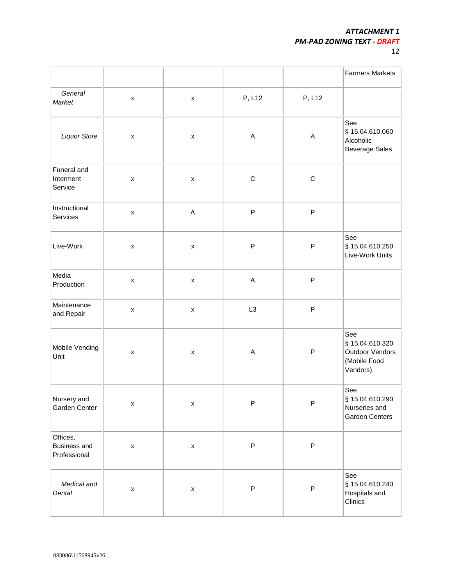| I | . .<br>v<br> |
|---|--------------|
|   |              |

|                                                 |                    |                    |                           |             | <b>Farmers Markets</b>                                                |
|-------------------------------------------------|--------------------|--------------------|---------------------------|-------------|-----------------------------------------------------------------------|
| General<br>Market                               | $\pmb{\mathsf{x}}$ | $\pmb{\mathsf{X}}$ | P, L12                    | P, L12      |                                                                       |
| <b>Liquor Store</b>                             | $\pmb{\mathsf{X}}$ | $\pmb{\times}$     | A                         | A           | See<br>§ 15.04.610.060<br>Alcoholic<br><b>Beverage Sales</b>          |
| Funeral and<br>Interment<br>Service             | $\pmb{\mathsf{x}}$ | $\pmb{\mathsf{X}}$ | $\mathsf C$               | $\mathsf C$ |                                                                       |
| Instructional<br>Services                       | $\pmb{\mathsf{X}}$ | $\mathsf A$        | $\mathsf P$               | ${\sf P}$   |                                                                       |
| Live-Work                                       | $\pmb{\mathsf{x}}$ | $\pmb{\mathsf{X}}$ | P                         | ${\sf P}$   | See<br>§ 15.04.610.250<br>Live-Work Units                             |
| Media<br>Production                             | $\pmb{\mathsf{x}}$ | $\pmb{\times}$     | $\boldsymbol{\mathsf{A}}$ | P           |                                                                       |
| Maintenance<br>and Repair                       | $\pmb{\mathsf{x}}$ | $\pmb{\times}$     | L <sub>3</sub>            | P           |                                                                       |
| Mobile Vending<br>Unit                          | X                  | $\pmb{\times}$     | $\boldsymbol{\mathsf{A}}$ | ${\sf P}$   | See<br>§ 15.04.610.320<br>Outdoor Vendors<br>(Mobile Food<br>Vendors) |
| Nursery and<br>Garden Center                    | $\pmb{\mathsf{x}}$ | $\pmb{\mathsf{X}}$ | $\mathsf P$               | ${\sf P}$   | See<br>§ 15.04.610.290<br>Nurseries and<br>Garden Centers             |
| Offices,<br><b>Business and</b><br>Professional | $\pmb{\mathsf{x}}$ | $\pmb{\mathsf{X}}$ | $\mathsf P$               | ${\sf P}$   |                                                                       |
| Medical and<br>Dental                           | $\pmb{\mathsf{X}}$ | $\pmb{\mathsf{x}}$ | ${\sf P}$                 | ${\sf P}$   | See<br>§ 15.04.610.240<br>Hospitals and<br>Clinics                    |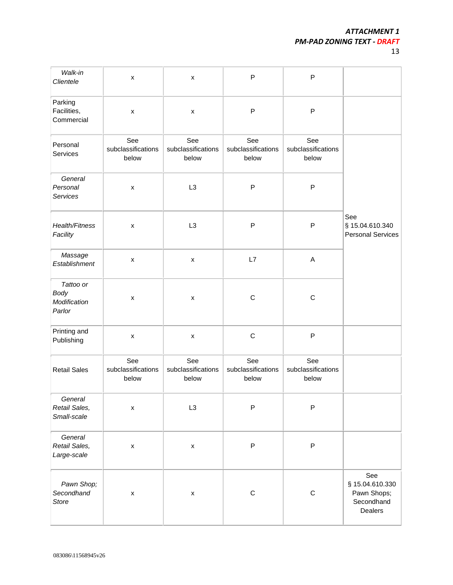Secondhand Dealers

| Walk-in<br>Clientele                               | $\pmb{\mathsf{x}}$                 | $\pmb{\times}$                     | P                                  | P                                  |                                                    |
|----------------------------------------------------|------------------------------------|------------------------------------|------------------------------------|------------------------------------|----------------------------------------------------|
| Parking<br>Facilities,<br>Commercial               | $\pmb{\mathsf{x}}$                 | $\pmb{\mathsf{x}}$                 | P                                  | P                                  |                                                    |
| Personal<br>Services                               | See<br>subclassifications<br>below | See<br>subclassifications<br>below | See<br>subclassifications<br>below | See<br>subclassifications<br>below |                                                    |
| General<br>Personal<br>Services                    | $\pmb{\times}$                     | L3                                 | P                                  | P                                  |                                                    |
| Health/Fitness<br>Facility                         | $\pmb{\times}$                     | L <sub>3</sub>                     | P                                  | ${\sf P}$                          | See<br>§ 15.04.610.340<br><b>Personal Services</b> |
| Massage<br>Establishment                           | $\pmb{\mathsf{x}}$                 | $\pmb{\mathsf{x}}$                 | L7                                 | A                                  |                                                    |
| Tattoo or<br><b>Body</b><br>Modification<br>Parlor | $\pmb{\mathsf{x}}$                 | $\pmb{\times}$                     | $\mathsf C$                        | $\mathsf C$                        |                                                    |
| Printing and<br>Publishing                         | $\pmb{\mathsf{x}}$                 | $\pmb{\mathsf{x}}$                 | $\mathsf C$                        | ${\sf P}$                          |                                                    |
| <b>Retail Sales</b>                                | See<br>subclassifications<br>below | See<br>subclassifications<br>below | See<br>subclassifications<br>below | See<br>subclassifications<br>below |                                                    |
| General<br>Retail Sales,<br>Small-scale            | $\pmb{\mathsf{X}}$                 | L <sub>3</sub>                     | P                                  | P                                  |                                                    |
| General<br>Retail Sales,<br>Large-scale            | $\pmb{\mathsf{x}}$                 | $\pmb{\mathsf{x}}$                 | P                                  | P                                  |                                                    |
| Pawn Shop;<br>Secondhand                           | $\pmb{\mathsf{x}}$                 | $\pmb{\mathsf{x}}$                 | $\mathsf C$                        | $\mathsf C$                        | See<br>§ 15.04.610.330<br>Pawn Shops;              |

*Store*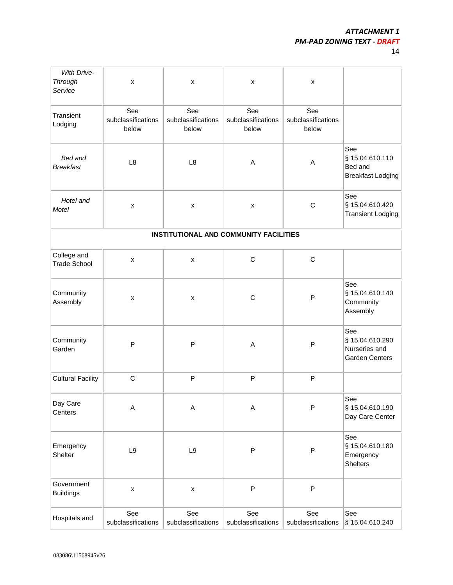14

| <b>With Drive-</b><br>Through<br>Service | $\pmb{\mathsf{x}}$                 | $\pmb{\mathsf{x}}$                     | $\pmb{\times}$                     | x                                  |                                                                  |
|------------------------------------------|------------------------------------|----------------------------------------|------------------------------------|------------------------------------|------------------------------------------------------------------|
| Transient<br>Lodging                     | See<br>subclassifications<br>below | See<br>subclassifications<br>below     | See<br>subclassifications<br>below | See<br>subclassifications<br>below |                                                                  |
| Bed and<br><b>Breakfast</b>              | L8                                 | L <sub>8</sub>                         | Α                                  | A                                  | See<br>§ 15.04.610.110<br>Bed and<br><b>Breakfast Lodging</b>    |
| Hotel and<br><b>Motel</b>                | $\pmb{\mathsf{x}}$                 | X                                      | $\pmb{\mathsf{x}}$                 | $\mathsf C$                        | See<br>§ 15.04.610.420<br><b>Transient Lodging</b>               |
|                                          |                                    | INSTITUTIONAL AND COMMUNITY FACILITIES |                                    |                                    |                                                                  |
| College and<br><b>Trade School</b>       | $\pmb{\mathsf{x}}$                 | X                                      | $\mathsf C$                        | $\mathsf C$                        |                                                                  |
| Community<br>Assembly                    | x                                  | X                                      | $\mathsf C$                        | P                                  | See<br>§ 15.04.610.140<br>Community<br>Assembly                  |
| Community<br>Garden                      | P                                  | ${\sf P}$                              | Α                                  | P                                  | See<br>§ 15.04.610.290<br>Nurseries and<br><b>Garden Centers</b> |
| <b>Cultural Facility</b>                 | $\mathsf C$                        | ${\sf P}$                              | P                                  | P                                  |                                                                  |
| Day Care<br>Centers                      | A                                  | A                                      | A                                  | P                                  | See<br>§ 15.04.610.190<br>Day Care Center                        |
| Emergency<br>Shelter                     | L9                                 | $\mathsf{L}9$                          | P                                  | ${\sf P}$                          | See<br>§ 15.04.610.180<br>Emergency<br><b>Shelters</b>           |
| Government<br><b>Buildings</b>           | $\pmb{\mathsf{X}}$                 | $\pmb{\mathsf{x}}$                     | P                                  | $\mathsf{P}$                       |                                                                  |
| Hospitals and                            | See<br>subclassifications          | See<br>subclassifications              | See<br>subclassifications          | See<br>subclassifications          | See<br>§ 15.04.610.240                                           |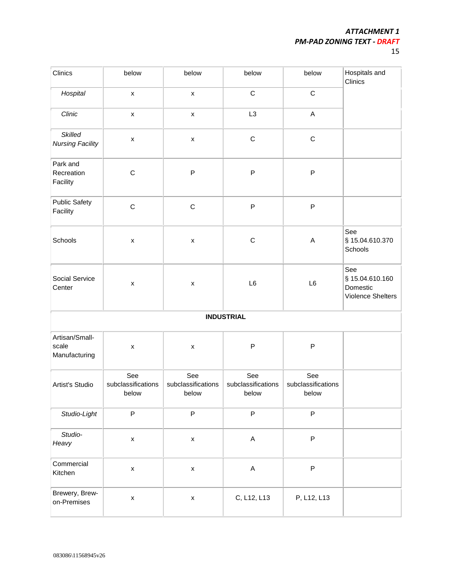| Clinics                                   | below                              | below                              | below                              | below                              | Hospitals and<br>Clinics                                |
|-------------------------------------------|------------------------------------|------------------------------------|------------------------------------|------------------------------------|---------------------------------------------------------|
| Hospital                                  | $\pmb{\mathsf{X}}$                 | $\pmb{\mathsf{X}}$                 | $\mathsf C$                        | $\mathsf C$                        |                                                         |
| Clinic                                    | $\pmb{\mathsf{x}}$                 | $\pmb{\mathsf{x}}$                 | L <sub>3</sub>                     | $\mathsf A$                        |                                                         |
| <b>Skilled</b><br><b>Nursing Facility</b> | $\pmb{\mathsf{X}}$                 | $\pmb{\mathsf{x}}$                 | $\mathsf C$                        | $\mathsf C$                        |                                                         |
| Park and<br>Recreation<br>Facility        | $\mathsf C$                        | $\mathsf{P}$                       | P                                  | ${\sf P}$                          |                                                         |
| <b>Public Safety</b><br>Facility          | $\mathsf C$                        | $\mathsf C$                        | P                                  | ${\sf P}$                          |                                                         |
| Schools                                   | $\pmb{\mathsf{x}}$                 | $\pmb{\mathsf{x}}$                 | $\mathsf C$                        | $\mathsf A$                        | See<br>§ 15.04.610.370<br>Schools                       |
| Social Service<br>Center                  | $\pmb{\mathsf{x}}$                 | $\pmb{\mathsf{x}}$                 | L <sub>6</sub>                     | L6                                 | See<br>§ 15.04.610.160<br>Domestic<br>Violence Shelters |
|                                           |                                    |                                    | <b>INDUSTRIAL</b>                  |                                    |                                                         |
| Artisan/Small-<br>scale<br>Manufacturing  | $\pmb{\mathsf{x}}$                 | $\pmb{\mathsf{x}}$                 | P                                  | P                                  |                                                         |
| Artist's Studio                           | See<br>subclassifications<br>below | See<br>subclassifications<br>below | See<br>subclassifications<br>below | See<br>subclassifications<br>below |                                                         |
| Studio-Light                              | $\mathsf{P}$                       | $\mathsf{P}$                       | $\mathsf P$                        | $\mathsf P$                        |                                                         |
| Studio-<br>Heavy                          | $\pmb{\mathsf{X}}$                 | $\pmb{\mathsf{X}}$                 | $\mathsf A$                        | $\mathsf P$                        |                                                         |
| Commercial<br>Kitchen                     | $\pmb{\mathsf{X}}$                 | $\pmb{\mathsf{X}}$                 | $\mathsf A$                        | P                                  |                                                         |
| Brewery, Brew-<br>on-Premises             | $\pmb{\mathsf{X}}$                 | $\pmb{\mathsf{X}}$                 | C, L12, L13                        | P, L12, L13                        |                                                         |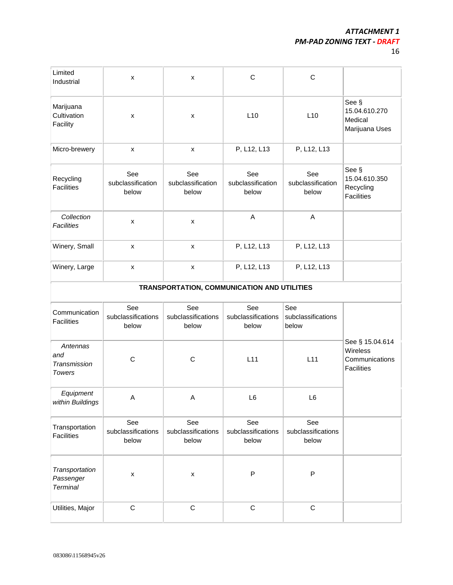16

| Limited<br>Industrial                            | $\pmb{\mathsf{x}}$                 | $\pmb{\mathsf{x}}$                          | $\mathsf C$                        | $\mathbf C$                        |                                                                    |
|--------------------------------------------------|------------------------------------|---------------------------------------------|------------------------------------|------------------------------------|--------------------------------------------------------------------|
| Marijuana<br>Cultivation<br>Facility             | $\pmb{\times}$                     | $\pmb{\times}$                              | L10                                | L10                                | See §<br>15.04.610.270<br>Medical<br>Marijuana Uses                |
| Micro-brewery                                    | $\pmb{\mathsf{x}}$                 | $\pmb{\mathsf{X}}$                          | P, L12, L13                        | P, L12, L13                        |                                                                    |
| Recycling<br><b>Facilities</b>                   | See<br>subclassification<br>below  | See<br>subclassification<br>below           | See<br>subclassification<br>below  | See<br>subclassification<br>below  | See §<br>15.04.610.350<br>Recycling<br><b>Facilities</b>           |
| Collection<br><b>Facilities</b>                  | $\pmb{\times}$                     | $\pmb{\mathsf{x}}$                          | $\mathsf A$                        | A                                  |                                                                    |
| Winery, Small                                    | X                                  | $\pmb{\mathsf{x}}$                          | P, L12, L13                        | P, L12, L13                        |                                                                    |
| Winery, Large                                    | $\pmb{\times}$                     | $\pmb{\times}$                              | P, L12, L13                        | P, L12, L13                        |                                                                    |
|                                                  |                                    | TRANSPORTATION, COMMUNICATION AND UTILITIES |                                    |                                    |                                                                    |
| Communication<br><b>Facilities</b>               | See<br>subclassifications<br>below | See<br>subclassifications<br>below          | See<br>subclassifications<br>below | See<br>subclassifications<br>below |                                                                    |
| Antennas<br>and<br>Transmission<br><b>Towers</b> | C                                  | $\mathsf{C}$                                | L11                                | L11                                | See § 15.04.614<br>Wireless<br>Communications<br><b>Facilities</b> |
| Equipment<br>within Buildings                    | Α                                  | Α                                           | L6                                 | L6                                 |                                                                    |
| Transportation<br><b>Facilities</b>              | See<br>subclassifications<br>below | See<br>subclassifications<br>below          | See<br>subclassifications<br>below | See<br>subclassifications<br>below |                                                                    |
| Transportation<br>Passenger<br><b>Terminal</b>   | $\pmb{\mathsf{x}}$                 | $\pmb{\mathsf{x}}$                          | P                                  | ${\sf P}$                          |                                                                    |
| Utilities, Major                                 | $\mathsf C$                        | $\mathsf C$                                 | $\mathsf C$                        | $\mathsf C$                        |                                                                    |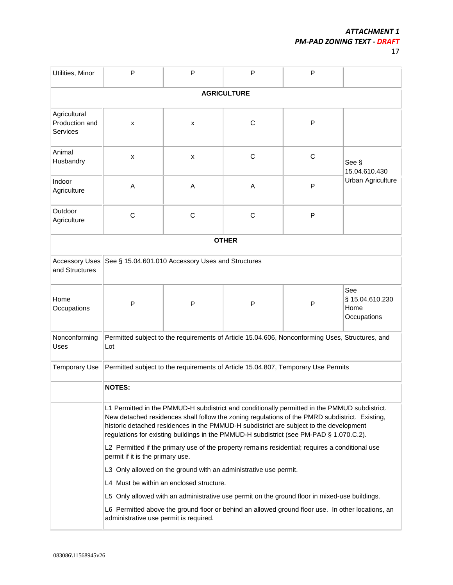| Utilities, Minor                                                                                                                            | P                                                                                                                                                                                                                                                                                                                                                                                    | P            | P                                                                                               | P |                                               |  |
|---------------------------------------------------------------------------------------------------------------------------------------------|--------------------------------------------------------------------------------------------------------------------------------------------------------------------------------------------------------------------------------------------------------------------------------------------------------------------------------------------------------------------------------------|--------------|-------------------------------------------------------------------------------------------------|---|-----------------------------------------------|--|
|                                                                                                                                             |                                                                                                                                                                                                                                                                                                                                                                                      |              | <b>AGRICULTURE</b>                                                                              |   |                                               |  |
| Agricultural<br>Production and<br><b>Services</b>                                                                                           | x                                                                                                                                                                                                                                                                                                                                                                                    | x            | C                                                                                               | P |                                               |  |
| Animal<br>Husbandry                                                                                                                         | x                                                                                                                                                                                                                                                                                                                                                                                    | x            | $\mathsf{C}$                                                                                    | C | See §<br>15.04.610.430                        |  |
| Indoor<br>Agriculture                                                                                                                       | A                                                                                                                                                                                                                                                                                                                                                                                    | A            | Α                                                                                               | P | Urban Agriculture                             |  |
| Outdoor<br>Agriculture                                                                                                                      | C                                                                                                                                                                                                                                                                                                                                                                                    | $\mathsf{C}$ | C                                                                                               | P |                                               |  |
|                                                                                                                                             |                                                                                                                                                                                                                                                                                                                                                                                      |              | <b>OTHER</b>                                                                                    |   |                                               |  |
| <b>Accessory Uses</b><br>and Structures                                                                                                     | See § 15.04.601.010 Accessory Uses and Structures                                                                                                                                                                                                                                                                                                                                    |              |                                                                                                 |   |                                               |  |
| Home<br>Occupations                                                                                                                         | P                                                                                                                                                                                                                                                                                                                                                                                    | P            | $\mathsf{P}$                                                                                    | P | See<br>§ 15.04.610.230<br>Home<br>Occupations |  |
| Nonconforming<br>Uses                                                                                                                       | Lot                                                                                                                                                                                                                                                                                                                                                                                  |              | Permitted subject to the requirements of Article 15.04.606, Nonconforming Uses, Structures, and |   |                                               |  |
| <b>Temporary Use</b>                                                                                                                        |                                                                                                                                                                                                                                                                                                                                                                                      |              | Permitted subject to the requirements of Article 15.04.807, Temporary Use Permits               |   |                                               |  |
|                                                                                                                                             | <b>NOTES:</b>                                                                                                                                                                                                                                                                                                                                                                        |              |                                                                                                 |   |                                               |  |
|                                                                                                                                             | L1 Permitted in the PMMUD-H subdistrict and conditionally permitted in the PMMUD subdistrict.<br>New detached residences shall follow the zoning regulations of the PMRD subdistrict. Existing,<br>historic detached residences in the PMMUD-H subdistrict are subject to the development<br>regulations for existing buildings in the PMMUD-H subdistrict (see PM-PAD § 1.070.C.2). |              |                                                                                                 |   |                                               |  |
| L2 Permitted if the primary use of the property remains residential; requires a conditional use<br>permit if it is the primary use.         |                                                                                                                                                                                                                                                                                                                                                                                      |              |                                                                                                 |   |                                               |  |
|                                                                                                                                             |                                                                                                                                                                                                                                                                                                                                                                                      |              | L3 Only allowed on the ground with an administrative use permit.                                |   |                                               |  |
|                                                                                                                                             | L4 Must be within an enclosed structure.                                                                                                                                                                                                                                                                                                                                             |              |                                                                                                 |   |                                               |  |
|                                                                                                                                             |                                                                                                                                                                                                                                                                                                                                                                                      |              | L5 Only allowed with an administrative use permit on the ground floor in mixed-use buildings.   |   |                                               |  |
| L6 Permitted above the ground floor or behind an allowed ground floor use. In other locations, an<br>administrative use permit is required. |                                                                                                                                                                                                                                                                                                                                                                                      |              |                                                                                                 |   |                                               |  |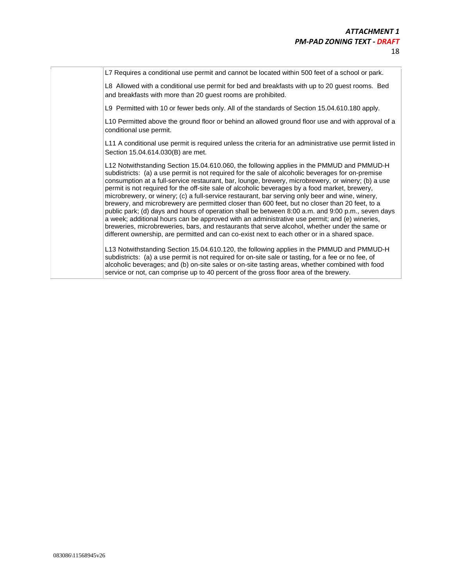L7 Requires a conditional use permit and cannot be located within 500 feet of a school or park.

L8 Allowed with a conditional use permit for bed and breakfasts with up to 20 guest rooms. Bed and breakfasts with more than 20 guest rooms are prohibited.

L9 Permitted with 10 or fewer beds only. All of the standards of Section 15.04.610.180 apply.

L10 Permitted above the ground floor or behind an allowed ground floor use and with approval of a conditional use permit.

L11 A conditional use permit is required unless the criteria for an administrative use permit listed in Section 15.04.614.030(B) are met.

L12 Notwithstanding Section 15.04.610.060, the following applies in the PMMUD and PMMUD-H subdistricts: (a) a use permit is not required for the sale of alcoholic beverages for on-premise consumption at a full-service restaurant, bar, lounge, brewery, microbrewery, or winery; (b) a use permit is not required for the off-site sale of alcoholic beverages by a food market, brewery, microbrewery, or winery; (c) a full-service restaurant, bar serving only beer and wine, winery, brewery, and microbrewery are permitted closer than 600 feet, but no closer than 20 feet, to a public park; (d) days and hours of operation shall be between 8:00 a.m. and 9:00 p.m., seven days a week; additional hours can be approved with an administrative use permit; and (e) wineries, breweries, microbreweries, bars, and restaurants that serve alcohol, whether under the same or different ownership, are permitted and can co-exist next to each other or in a shared space.

L13 Notwithstanding Section 15.04.610.120, the following applies in the PMMUD and PMMUD-H subdistricts: (a) a use permit is not required for on-site sale or tasting, for a fee or no fee, of alcoholic beverages; and (b) on-site sales or on-site tasting areas, whether combined with food service or not, can comprise up to 40 percent of the gross floor area of the brewery.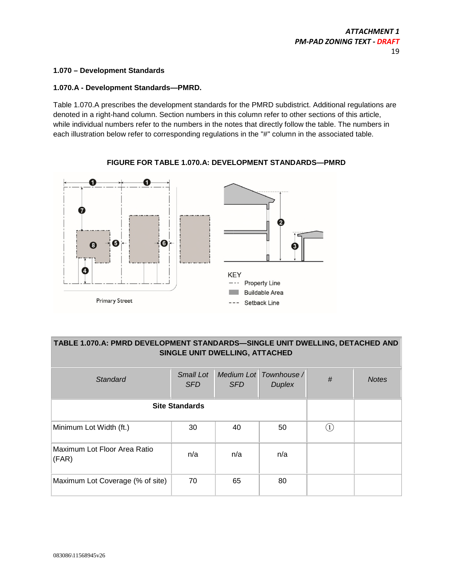# **1.070 – Development Standards**

# **1.070.A - Development Standards—PMRD.**

Table 1.070.A prescribes the development standards for the PMRD subdistrict. Additional regulations are denoted in a right-hand column. Section numbers in this column refer to other sections of this article, while individual numbers refer to the numbers in the notes that directly follow the table. The numbers in each illustration below refer to corresponding regulations in the "#" column in the associated table.



# **FIGURE FOR TABLE 1.070.A: DEVELOPMENT STANDARDS—PMRD**

# **TABLE 1.070.A: PMRD DEVELOPMENT STANDARDS—SINGLE UNIT DWELLING, DETACHED AND SINGLE UNIT DWELLING, ATTACHED**

| Standard                              | <b>Small Lot</b><br><b>SFD</b> | <b>SFD</b> | Medium Lot Townhouse /<br><b>Duplex</b> | $\#$             | <b>Notes</b> |
|---------------------------------------|--------------------------------|------------|-----------------------------------------|------------------|--------------|
|                                       | <b>Site Standards</b>          |            |                                         |                  |              |
| Minimum Lot Width (ft.)               | 30                             | 40         | 50                                      | $\left(1\right)$ |              |
| Maximum Lot Floor Area Ratio<br>(FAR) | n/a                            | n/a        | n/a                                     |                  |              |
| Maximum Lot Coverage (% of site)      | 70                             | 65         | 80                                      |                  |              |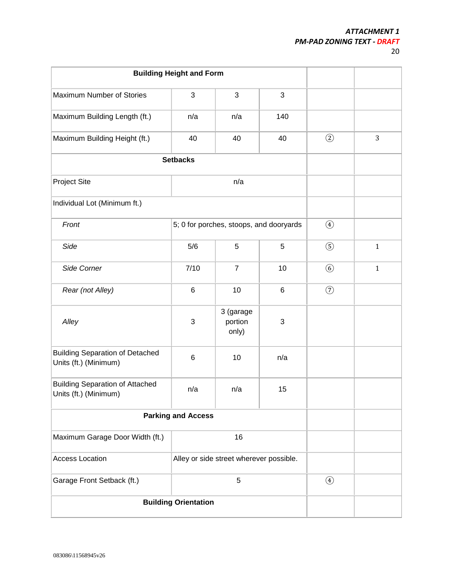|                                                                 | <b>Building Height and Form</b>         |                                         |                |               |              |
|-----------------------------------------------------------------|-----------------------------------------|-----------------------------------------|----------------|---------------|--------------|
| Maximum Number of Stories                                       | 3                                       | $\mathfrak{S}$                          | $\mathfrak{S}$ |               |              |
| Maximum Building Length (ft.)                                   | n/a                                     | n/a                                     | 140            |               |              |
| Maximum Building Height (ft.)                                   | 40                                      | 40                                      | 40             | $\circled{2}$ | 3            |
|                                                                 | <b>Setbacks</b>                         |                                         |                |               |              |
| <b>Project Site</b>                                             |                                         | n/a                                     |                |               |              |
| Individual Lot (Minimum ft.)                                    |                                         |                                         |                |               |              |
| Front                                                           |                                         | 5; 0 for porches, stoops, and dooryards |                | $\bigcirc$    |              |
| Side                                                            | 5/6                                     | 5                                       | 5              | $\circledS$   | $\mathbf{1}$ |
| Side Corner                                                     | 7/10                                    | $\overline{7}$                          | 10             | $\circled{6}$ | $\mathbf{1}$ |
| Rear (not Alley)                                                | $6\phantom{1}6$                         | 10                                      | $\,6$          | $\circled{2}$ |              |
| Alley                                                           | 3                                       | 3 (garage<br>portion<br>only)           | $\sqrt{3}$     |               |              |
| <b>Building Separation of Detached</b><br>Units (ft.) (Minimum) | $6\phantom{1}6$                         | 10                                      | n/a            |               |              |
| <b>Building Separation of Attached</b><br>Units (ft.) (Minimum) | n/a                                     | n/a                                     | 15             |               |              |
|                                                                 | <b>Parking and Access</b>               |                                         |                |               |              |
| Maximum Garage Door Width (ft.)                                 |                                         | 16                                      |                |               |              |
| <b>Access Location</b>                                          | Alley or side street wherever possible. |                                         |                |               |              |
| Garage Front Setback (ft.)<br>5                                 |                                         |                                         |                | $\bigcirc$    |              |
|                                                                 | <b>Building Orientation</b>             |                                         |                |               |              |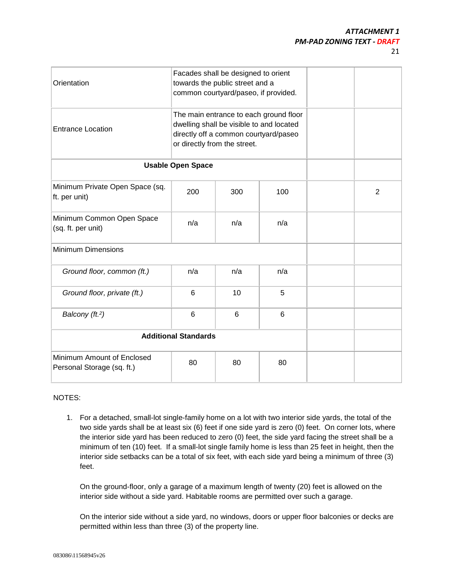| . .   | I |
|-------|---|
|       |   |
| v<br> |   |

| Orientation                                              |                                                                                                                                                             | Facades shall be designed to orient<br>towards the public street and a<br>common courtyard/paseo, if provided. |     |                |
|----------------------------------------------------------|-------------------------------------------------------------------------------------------------------------------------------------------------------------|----------------------------------------------------------------------------------------------------------------|-----|----------------|
| <b>Entrance Location</b>                                 | The main entrance to each ground floor<br>dwelling shall be visible to and located<br>directly off a common courtyard/paseo<br>or directly from the street. |                                                                                                                |     |                |
|                                                          | <b>Usable Open Space</b>                                                                                                                                    |                                                                                                                |     |                |
| Minimum Private Open Space (sq.<br>ft. per unit)         | 200                                                                                                                                                         | 300                                                                                                            | 100 | $\overline{2}$ |
| Minimum Common Open Space<br>(sq. ft. per unit)          | n/a                                                                                                                                                         | n/a                                                                                                            | n/a |                |
| <b>Minimum Dimensions</b>                                |                                                                                                                                                             |                                                                                                                |     |                |
| Ground floor, common (ft.)                               | n/a                                                                                                                                                         | n/a                                                                                                            | n/a |                |
| Ground floor, private (ft.)                              | 6                                                                                                                                                           | 10                                                                                                             | 5   |                |
| Balcony (ft. <sup>2</sup> )                              | $6\phantom{1}$                                                                                                                                              | 6                                                                                                              | 6   |                |
| <b>Additional Standards</b>                              |                                                                                                                                                             |                                                                                                                |     |                |
| Minimum Amount of Enclosed<br>Personal Storage (sq. ft.) | 80                                                                                                                                                          | 80                                                                                                             | 80  |                |

# NOTES:

1. For a detached, small-lot single-family home on a lot with two interior side yards, the total of the two side yards shall be at least six (6) feet if one side yard is zero (0) feet. On corner lots, where the interior side yard has been reduced to zero (0) feet, the side yard facing the street shall be a minimum of ten (10) feet. If a small-lot single family home is less than 25 feet in height, then the interior side setbacks can be a total of six feet, with each side yard being a minimum of three (3) feet.

On the ground-floor, only a garage of a maximum length of twenty (20) feet is allowed on the interior side without a side yard. Habitable rooms are permitted over such a garage.

On the interior side without a side yard, no windows, doors or upper floor balconies or decks are permitted within less than three (3) of the property line.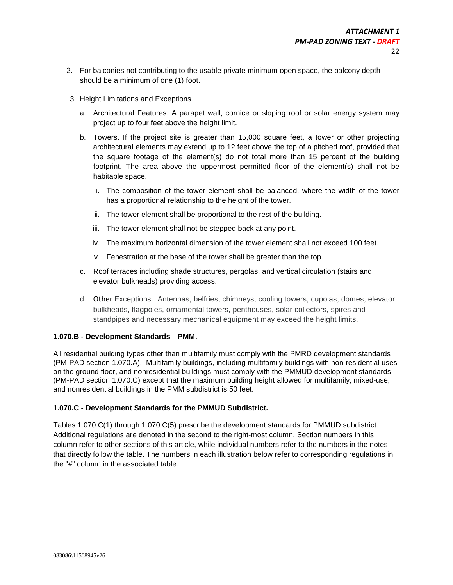- 2. For balconies not contributing to the usable private minimum open space, the balcony depth should be a minimum of one (1) foot.
- 3. Height Limitations and Exceptions.
	- a. Architectural Features. A parapet wall, cornice or sloping roof or solar energy system may project up to four feet above the height limit.
	- b. Towers. If the project site is greater than 15,000 square feet, a tower or other projecting architectural elements may extend up to 12 feet above the top of a pitched roof, provided that the square footage of the element(s) do not total more than 15 percent of the building footprint. The area above the uppermost permitted floor of the element(s) shall not be habitable space.
		- i. The composition of the tower element shall be balanced, where the width of the tower has a proportional relationship to the height of the tower.
		- ii. The tower element shall be proportional to the rest of the building.
		- iii. The tower element shall not be stepped back at any point.
		- iv. The maximum horizontal dimension of the tower element shall not exceed 100 feet.
		- v. Fenestration at the base of the tower shall be greater than the top.
	- c. Roof terraces including shade structures, pergolas, and vertical circulation (stairs and elevator bulkheads) providing access.
	- d. Other Exceptions. Antennas, belfries, chimneys, cooling towers, cupolas, domes, elevator bulkheads, flagpoles, ornamental towers, penthouses, solar collectors, spires and standpipes and necessary mechanical equipment may exceed the height limits.

# **1.070.B - Development Standards—PMM.**

All residential building types other than multifamily must comply with the PMRD development standards (PM-PAD section 1.070.A). Multifamily buildings, including multifamily buildings with non-residential uses on the ground floor, and nonresidential buildings must comply with the PMMUD development standards (PM-PAD section 1.070.C) except that the maximum building height allowed for multifamily, mixed-use, and nonresidential buildings in the PMM subdistrict is 50 feet.

# **1.070.C - Development Standards for the PMMUD Subdistrict.**

Tables 1.070.C(1) through 1.070.C(5) prescribe the development standards for PMMUD subdistrict. Additional regulations are denoted in the second to the right-most column. Section numbers in this column refer to other sections of this article, while individual numbers refer to the numbers in the notes that directly follow the table. The numbers in each illustration below refer to corresponding regulations in the "#" column in the associated table.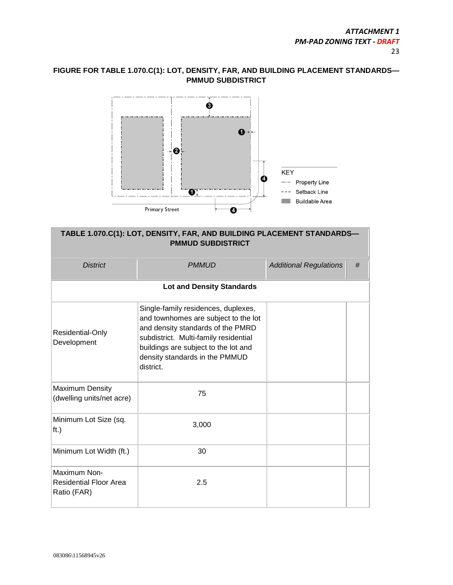# **FIGURE FOR TABLE 1.070.C(1): LOT, DENSITY, FAR, AND BUILDING PLACEMENT STANDARDS— PMMUD SUBDISTRICT**



# **TABLE 1.070.C(1): LOT, DENSITY, FAR, AND BUILDING PLACEMENT STANDARDS— PMMUD SUBDISTRICT**

| <b>District</b>                                              | <b>PMMUD</b>                                                                                                                                                                                                                                     | <b>Additional Regulations</b> | # |
|--------------------------------------------------------------|--------------------------------------------------------------------------------------------------------------------------------------------------------------------------------------------------------------------------------------------------|-------------------------------|---|
|                                                              | <b>Lot and Density Standards</b>                                                                                                                                                                                                                 |                               |   |
| Residential-Only<br>Development                              | Single-family residences, duplexes,<br>and townhomes are subject to the lot<br>and density standards of the PMRD<br>subdistrict. Multi-family residential<br>buildings are subject to the lot and<br>density standards in the PMMUD<br>district. |                               |   |
| <b>Maximum Density</b><br>(dwelling units/net acre)          | 75                                                                                                                                                                                                                                               |                               |   |
| Minimum Lot Size (sq.<br>ft.)                                | 3,000                                                                                                                                                                                                                                            |                               |   |
| Minimum Lot Width (ft.)                                      | 30                                                                                                                                                                                                                                               |                               |   |
| Maximum Non-<br><b>Residential Floor Area</b><br>Ratio (FAR) | 2.5                                                                                                                                                                                                                                              |                               |   |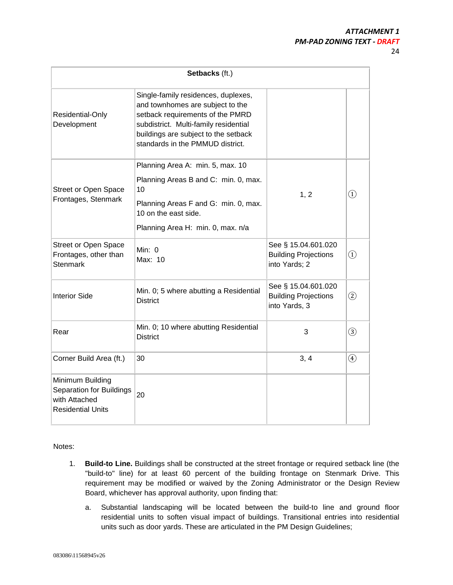24

| Setbacks (ft.)                                                                            |                                                                                                                                                                                                                                  |                                                                     |                                |  |
|-------------------------------------------------------------------------------------------|----------------------------------------------------------------------------------------------------------------------------------------------------------------------------------------------------------------------------------|---------------------------------------------------------------------|--------------------------------|--|
| Residential-Only<br>Development                                                           | Single-family residences, duplexes,<br>and townhomes are subject to the<br>setback requirements of the PMRD<br>subdistrict. Multi-family residential<br>buildings are subject to the setback<br>standards in the PMMUD district. |                                                                     |                                |  |
| <b>Street or Open Space</b><br>Frontages, Stenmark                                        | Planning Area A: min. 5, max. 10<br>Planning Areas B and C: min. 0, max.<br>10<br>Planning Areas F and G: min. 0, max.<br>10 on the east side.<br>Planning Area H: min. 0, max. n/a                                              | 1, 2                                                                | $\left( 1\right)$              |  |
| <b>Street or Open Space</b><br>Frontages, other than<br><b>Stenmark</b>                   | Min: $0$<br>Max: 10                                                                                                                                                                                                              | See § 15.04.601.020<br><b>Building Projections</b><br>into Yards; 2 | $\textcircled{\scriptsize{1}}$ |  |
| <b>Interior Side</b>                                                                      | Min. 0; 5 where abutting a Residential<br><b>District</b>                                                                                                                                                                        | See § 15.04.601.020<br><b>Building Projections</b><br>into Yards, 3 | $\circled{2}$                  |  |
| Rear                                                                                      | Min. 0; 10 where abutting Residential<br><b>District</b>                                                                                                                                                                         | 3                                                                   | $\circled{3}$                  |  |
| Corner Build Area (ft.)                                                                   | 30                                                                                                                                                                                                                               | 3, 4                                                                | $\circled{4}$                  |  |
| Minimum Building<br>Separation for Buildings<br>with Attached<br><b>Residential Units</b> | 20                                                                                                                                                                                                                               |                                                                     |                                |  |

Notes:

- 1. **Build-to Line.** Buildings shall be constructed at the street frontage or required setback line (the "build-to" line) for at least 60 percent of the building frontage on Stenmark Drive. This requirement may be modified or waived by the Zoning Administrator or the Design Review Board, whichever has approval authority, upon finding that:
	- a. Substantial landscaping will be located between the build-to line and ground floor residential units to soften visual impact of buildings. Transitional entries into residential units such as door yards. These are articulated in the PM Design Guidelines;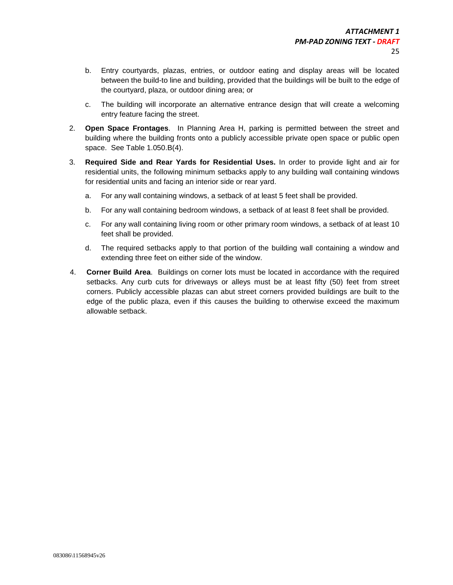- b. Entry courtyards, plazas, entries, or outdoor eating and display areas will be located between the build-to line and building, provided that the buildings will be built to the edge of the courtyard, plaza, or outdoor dining area; or
- c. The building will incorporate an alternative entrance design that will create a welcoming entry feature facing the street.
- 2. **Open Space Frontages**. In Planning Area H, parking is permitted between the street and building where the building fronts onto a publicly accessible private open space or public open space. See Table 1.050.B(4).
- 3. **Required Side and Rear Yards for Residential Uses.** In order to provide light and air for residential units, the following minimum setbacks apply to any building wall containing windows for residential units and facing an interior side or rear yard.
	- a. For any wall containing windows, a setback of at least 5 feet shall be provided.
	- b. For any wall containing bedroom windows, a setback of at least 8 feet shall be provided.
	- c. For any wall containing living room or other primary room windows, a setback of at least 10 feet shall be provided.
	- d. The required setbacks apply to that portion of the building wall containing a window and extending three feet on either side of the window.
- 4. **Corner Build Area**. Buildings on corner lots must be located in accordance with the required setbacks. Any curb cuts for driveways or alleys must be at least fifty (50) feet from street corners. Publicly accessible plazas can abut street corners provided buildings are built to the edge of the public plaza, even if this causes the building to otherwise exceed the maximum allowable setback.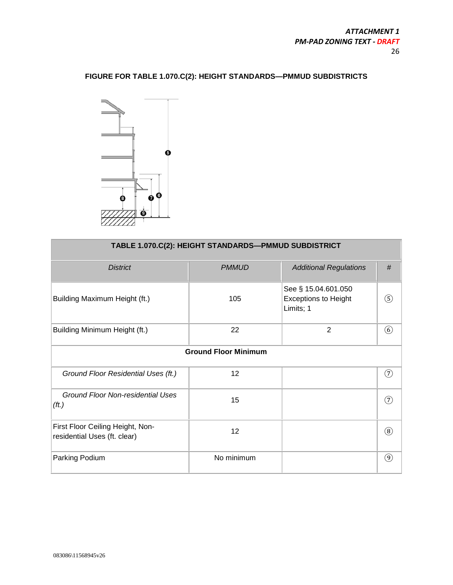# **FIGURE FOR TABLE 1.070.C(2): HEIGHT STANDARDS—PMMUD SUBDISTRICTS**



| TABLE 1.070.C(2): HEIGHT STANDARDS-PMMUD SUBDISTRICT             |                             |                                                                 |               |  |  |
|------------------------------------------------------------------|-----------------------------|-----------------------------------------------------------------|---------------|--|--|
| <b>District</b>                                                  | <b>PMMUD</b>                | <b>Additional Regulations</b>                                   | #             |  |  |
| Building Maximum Height (ft.)                                    | 105                         | See § 15.04.601.050<br><b>Exceptions to Height</b><br>Limits; 1 | $\circled{s}$ |  |  |
| Building Minimum Height (ft.)                                    | 22                          | $\overline{2}$                                                  | $\circled{6}$ |  |  |
|                                                                  | <b>Ground Floor Minimum</b> |                                                                 |               |  |  |
| Ground Floor Residential Uses (ft.)                              | 12                          |                                                                 | (7)           |  |  |
| Ground Floor Non-residential Uses<br>(ft.)                       | 15                          |                                                                 | (7)           |  |  |
| First Floor Ceiling Height, Non-<br>residential Uses (ft. clear) | 12                          |                                                                 | $\circledR$   |  |  |
| Parking Podium                                                   | No minimum                  |                                                                 | $\circled{9}$ |  |  |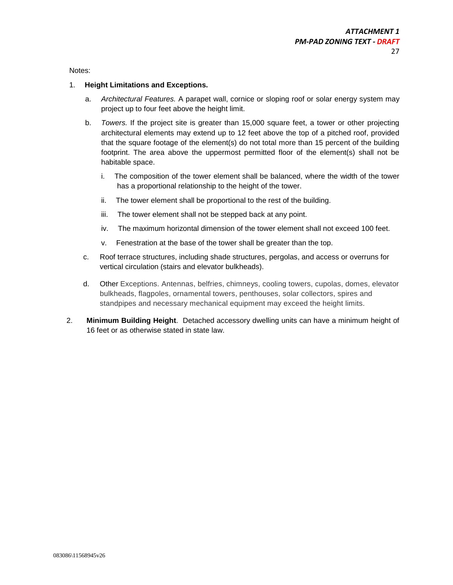Notes:

#### 1. **Height Limitations and Exceptions.**

- a. *Architectural Features.* A parapet wall, cornice or sloping roof or solar energy system may project up to four feet above the height limit.
- b. *Towers.* If the project site is greater than 15,000 square feet, a tower or other projecting architectural elements may extend up to 12 feet above the top of a pitched roof, provided that the square footage of the element(s) do not total more than 15 percent of the building footprint. The area above the uppermost permitted floor of the element(s) shall not be habitable space.
	- i. The composition of the tower element shall be balanced, where the width of the tower has a proportional relationship to the height of the tower.
	- ii. The tower element shall be proportional to the rest of the building.
	- iii. The tower element shall not be stepped back at any point.
	- iv. The maximum horizontal dimension of the tower element shall not exceed 100 feet.
	- v. Fenestration at the base of the tower shall be greater than the top.
- c. Roof terrace structures, including shade structures, pergolas, and access or overruns for vertical circulation (stairs and elevator bulkheads).
- d. Other Exceptions. Antennas, belfries, chimneys, cooling towers, cupolas, domes, elevator bulkheads, flagpoles, ornamental towers, penthouses, solar collectors, spires and standpipes and necessary mechanical equipment may exceed the height limits.
- 2. **Minimum Building Height**. Detached accessory dwelling units can have a minimum height of 16 feet or as otherwise stated in state law.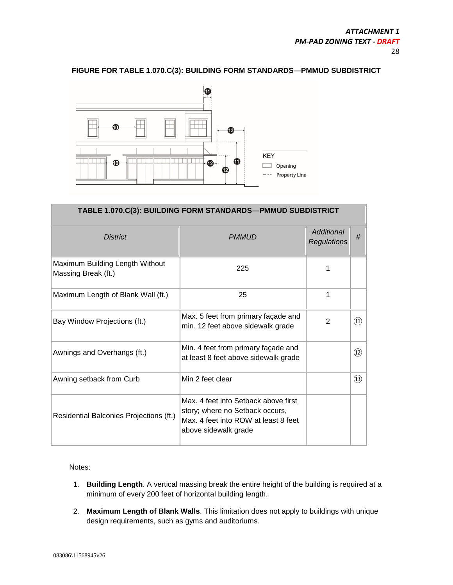# **FIGURE FOR TABLE 1.070.C(3): BUILDING FORM STANDARDS—PMMUD SUBDISTRICT**



| TABLE 1.070.C(3): BUILDING FORM STANDARDS—PMMUD SUBDISTRICT |                                                                                                                                         |                                  |               |  |  |
|-------------------------------------------------------------|-----------------------------------------------------------------------------------------------------------------------------------------|----------------------------------|---------------|--|--|
| <b>District</b>                                             | <b>PMMUD</b>                                                                                                                            | Additional<br><b>Regulations</b> | #             |  |  |
| Maximum Building Length Without<br>Massing Break (ft.)      | 225                                                                                                                                     | 1                                |               |  |  |
| Maximum Length of Blank Wall (ft.)                          | 25                                                                                                                                      | 1                                |               |  |  |
| Bay Window Projections (ft.)                                | Max. 5 feet from primary façade and<br>min. 12 feet above sidewalk grade                                                                | $\overline{2}$                   | (1)           |  |  |
| Awnings and Overhangs (ft.)                                 | Min. 4 feet from primary façade and<br>at least 8 feet above sidewalk grade                                                             |                                  | (12)          |  |  |
| Awning setback from Curb                                    | Min 2 feet clear                                                                                                                        |                                  | $\circled{1}$ |  |  |
| Residential Balconies Projections (ft.)                     | Max. 4 feet into Setback above first<br>story; where no Setback occurs,<br>Max, 4 feet into ROW at least 8 feet<br>above sidewalk grade |                                  |               |  |  |

Notes:

- 1. **Building Length**. A vertical massing break the entire height of the building is required at a minimum of every 200 feet of horizontal building length.
- 2. **Maximum Length of Blank Walls**. This limitation does not apply to buildings with unique design requirements, such as gyms and auditoriums.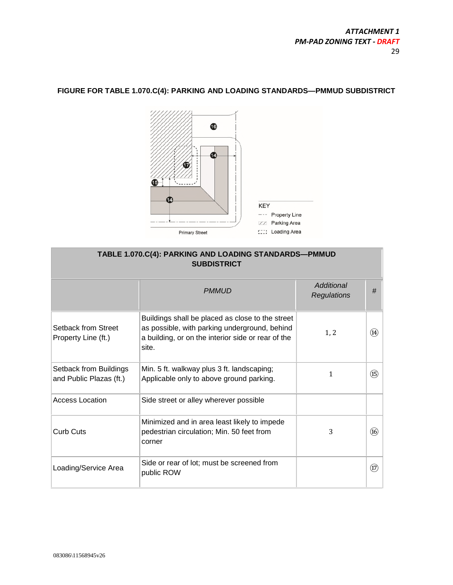

# **FIGURE FOR TABLE 1.070.C(4): PARKING AND LOADING STANDARDS—PMMUD SUBDISTRICT**

| TABLE 1.070.C(4): PARKING AND LOADING STANDARDS-PMMUD<br><b>SUBDISTRICT</b> |                                                                                                                                                                  |                                  |                                  |
|-----------------------------------------------------------------------------|------------------------------------------------------------------------------------------------------------------------------------------------------------------|----------------------------------|----------------------------------|
|                                                                             | <b>PMMUD</b>                                                                                                                                                     | Additional<br><b>Regulations</b> | #                                |
| Setback from Street<br>Property Line (ft.)                                  | Buildings shall be placed as close to the street<br>as possible, with parking underground, behind<br>a building, or on the interior side or rear of the<br>site. | 1, 2                             | (14)                             |
| Setback from Buildings<br>and Public Plazas (ft.)                           | Min. 5 ft. walkway plus 3 ft. landscaping;<br>Applicable only to above ground parking.                                                                           | 1                                | $\circled{f}$                    |
| <b>Access Location</b>                                                      | Side street or alley wherever possible                                                                                                                           |                                  |                                  |
| <b>Curb Cuts</b>                                                            | Minimized and in area least likely to impede<br>pedestrian circulation; Min. 50 feet from<br>corner                                                              | 3                                | (16)                             |
| Loading/Service Area                                                        | Side or rear of lot; must be screened from<br>public ROW                                                                                                         |                                  | $\left(\overline{\Omega}\right)$ |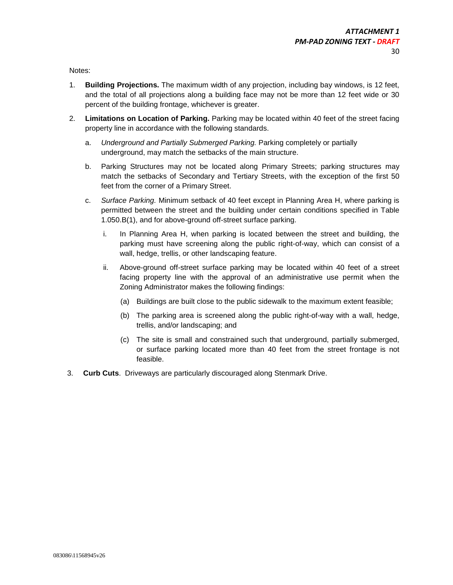Notes:

- 1. **Building Projections.** The maximum width of any projection, including bay windows, is 12 feet, and the total of all projections along a building face may not be more than 12 feet wide or 30 percent of the building frontage, whichever is greater.
- 2. **Limitations on Location of Parking.** Parking may be located within 40 feet of the street facing property line in accordance with the following standards.
	- a. *Underground and Partially Submerged Parking.* Parking completely or partially underground, may match the setbacks of the main structure.
	- b. Parking Structures may not be located along Primary Streets; parking structures may match the setbacks of Secondary and Tertiary Streets, with the exception of the first 50 feet from the corner of a Primary Street.
	- c. *Surface Parking.* Minimum setback of 40 feet except in Planning Area H, where parking is permitted between the street and the building under certain conditions specified in Table 1.050.B(1), and for above-ground off-street surface parking.
		- i. In Planning Area H, when parking is located between the street and building, the parking must have screening along the public right-of-way, which can consist of a wall, hedge, trellis, or other landscaping feature.
		- ii. Above-ground off-street surface parking may be located within 40 feet of a street facing property line with the approval of an administrative use permit when the Zoning Administrator makes the following findings:
			- (a) Buildings are built close to the public sidewalk to the maximum extent feasible;
			- (b) The parking area is screened along the public right-of-way with a wall, hedge, trellis, and/or landscaping; and
			- (c) The site is small and constrained such that underground, partially submerged, or surface parking located more than 40 feet from the street frontage is not feasible.
- 3. **Curb Cuts**. Driveways are particularly discouraged along Stenmark Drive.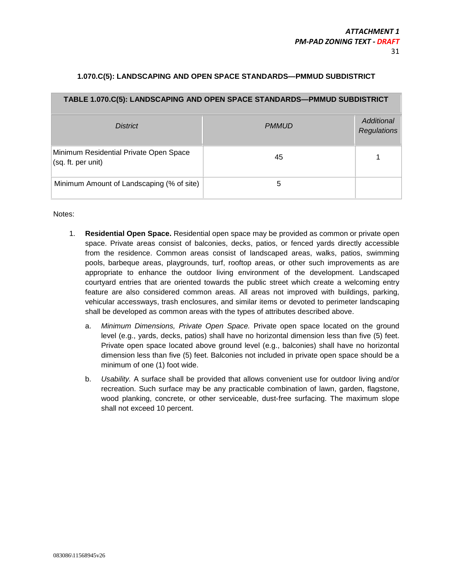# **1.070.C(5): LANDSCAPING AND OPEN SPACE STANDARDS—PMMUD SUBDISTRICT**

| TABLE 1.070.C(5): LANDSCAPING AND OPEN SPACE STANDARDS-PMMUD SUBDISTRICT |              |                                  |  |  |
|--------------------------------------------------------------------------|--------------|----------------------------------|--|--|
| <b>District</b>                                                          | <b>PMMUD</b> | Additional<br><b>Regulations</b> |  |  |
| Minimum Residential Private Open Space<br>(sq. ft. per unit)             | 45           |                                  |  |  |
| Minimum Amount of Landscaping (% of site)                                | 5            |                                  |  |  |

Notes:

- 1. **Residential Open Space.** Residential open space may be provided as common or private open space. Private areas consist of balconies, decks, patios, or fenced yards directly accessible from the residence. Common areas consist of landscaped areas, walks, patios, swimming pools, barbeque areas, playgrounds, turf, rooftop areas, or other such improvements as are appropriate to enhance the outdoor living environment of the development. Landscaped courtyard entries that are oriented towards the public street which create a welcoming entry feature are also considered common areas. All areas not improved with buildings, parking, vehicular accessways, trash enclosures, and similar items or devoted to perimeter landscaping shall be developed as common areas with the types of attributes described above.
	- a. *Minimum Dimensions, Private Open Space.* Private open space located on the ground level (e.g., yards, decks, patios) shall have no horizontal dimension less than five (5) feet. Private open space located above ground level (e.g., balconies) shall have no horizontal dimension less than five (5) feet. Balconies not included in private open space should be a minimum of one (1) foot wide.
	- b. *Usability.* A surface shall be provided that allows convenient use for outdoor living and/or recreation. Such surface may be any practicable combination of lawn, garden, flagstone, wood planking, concrete, or other serviceable, dust-free surfacing. The maximum slope shall not exceed 10 percent.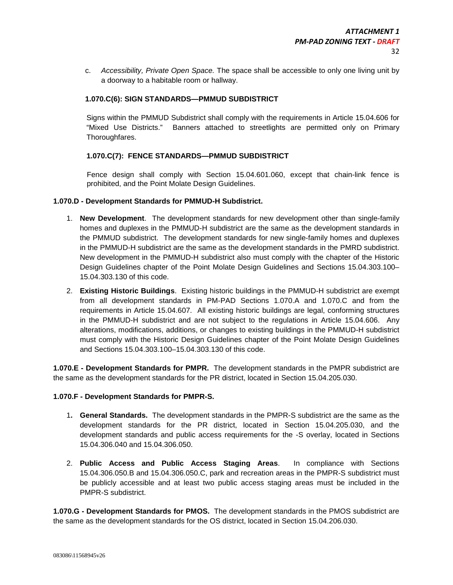c. *Accessibility, Private Open Space.* The space shall be accessible to only one living unit by a doorway to a habitable room or hallway.

# **1.070.C(6): SIGN STANDARDS—PMMUD SUBDISTRICT**

Signs within the PMMUD Subdistrict shall comply with the requirements in Article 15.04.606 for "Mixed Use Districts." Banners attached to streetlights are permitted only on Primary Thoroughfares.

# **1.070.C(7): FENCE STANDARDS—PMMUD SUBDISTRICT**

Fence design shall comply with Section 15.04.601.060, except that chain-link fence is prohibited, and the Point Molate Design Guidelines.

# **1.070.D - Development Standards for PMMUD-H Subdistrict.**

- 1. **New Development**. The development standards for new development other than single-family homes and duplexes in the PMMUD-H subdistrict are the same as the development standards in the PMMUD subdistrict. The development standards for new single-family homes and duplexes in the PMMUD-H subdistrict are the same as the development standards in the PMRD subdistrict. New development in the PMMUD-H subdistrict also must comply with the chapter of the Historic Design Guidelines chapter of the Point Molate Design Guidelines and Sections 15.04.303.100– 15.04.303.130 of this code.
- 2. **Existing Historic Buildings**. Existing historic buildings in the PMMUD-H subdistrict are exempt from all development standards in PM-PAD Sections 1.070.A and 1.070.C and from the requirements in Article 15.04.607. All existing historic buildings are legal, conforming structures in the PMMUD-H subdistrict and are not subject to the regulations in Article 15.04.606. Any alterations, modifications, additions, or changes to existing buildings in the PMMUD-H subdistrict must comply with the Historic Design Guidelines chapter of the Point Molate Design Guidelines and Sections 15.04.303.100–15.04.303.130 of this code.

**1.070.E - Development Standards for PMPR.** The development standards in the PMPR subdistrict are the same as the development standards for the PR district, located in Section 15.04.205.030.

# **1.070.F - Development Standards for PMPR-S.**

- 1**. General Standards.** The development standards in the PMPR-S subdistrict are the same as the development standards for the PR district, located in Section 15.04.205.030, and the development standards and public access requirements for the -S overlay, located in Sections 15.04.306.040 and 15.04.306.050.
- 2. **Public Access and Public Access Staging Areas**. In compliance with Sections 15.04.306.050.B and 15.04.306.050.C, park and recreation areas in the PMPR-S subdistrict must be publicly accessible and at least two public access staging areas must be included in the PMPR-S subdistrict.

**1.070.G - Development Standards for PMOS.** The development standards in the PMOS subdistrict are the same as the development standards for the OS district, located in Section 15.04.206.030.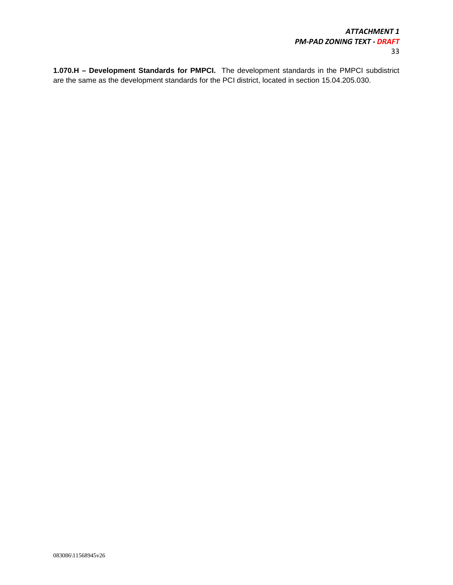**1.070.H – Development Standards for PMPCI.** The development standards in the PMPCI subdistrict are the same as the development standards for the PCI district, located in section 15.04.205.030.